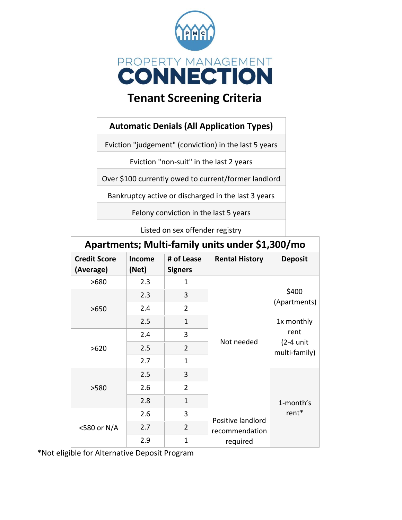

# **Tenant Screening Criteria**

## **Automatic Denials (All Application Types)**

Eviction "judgement" (conviction) in the last 5 years

Eviction "non-suit" in the last 2 years

Over \$100 currently owed to current/former landlord

Bankruptcy active or discharged in the last 3 years

Felony conviction in the last 5 years

Listed on sex offender registry

| Apartments; Multi-family units under \$1,300/mo |                        |                              |                       |                                                                             |  |  |  |
|-------------------------------------------------|------------------------|------------------------------|-----------------------|-----------------------------------------------------------------------------|--|--|--|
| <b>Credit Score</b><br>(Average)                | <b>Income</b><br>(Net) | # of Lease<br><b>Signers</b> | <b>Rental History</b> | <b>Deposit</b>                                                              |  |  |  |
| >680                                            | 2.3                    | 1                            |                       | \$400<br>(Apartments)<br>1x monthly<br>rent<br>$(2-4$ unit<br>multi-family) |  |  |  |
| >650                                            | 2.3                    | 3                            |                       |                                                                             |  |  |  |
|                                                 | 2.4                    | $\overline{2}$               |                       |                                                                             |  |  |  |
|                                                 | 2.5                    | 1                            |                       |                                                                             |  |  |  |
| >620                                            | 2.4                    | 3                            | Not needed            |                                                                             |  |  |  |
|                                                 | 2.5                    | $\overline{2}$               |                       |                                                                             |  |  |  |
|                                                 | 2.7                    | 1                            |                       |                                                                             |  |  |  |
| >580                                            | 2.5                    | 3                            |                       |                                                                             |  |  |  |
|                                                 | 2.6                    | $\overline{2}$               |                       |                                                                             |  |  |  |
|                                                 | 2.8                    | $\mathbf{1}$                 |                       | 1-month's<br>rent <sup>*</sup>                                              |  |  |  |
| <580 or N/A                                     | 2.6                    | 3                            | Positive landlord     |                                                                             |  |  |  |
|                                                 | 2.7                    | $\overline{2}$               | recommendation        |                                                                             |  |  |  |
|                                                 | 2.9                    | 1                            | required              |                                                                             |  |  |  |

\*Not eligible for Alternative Deposit Program